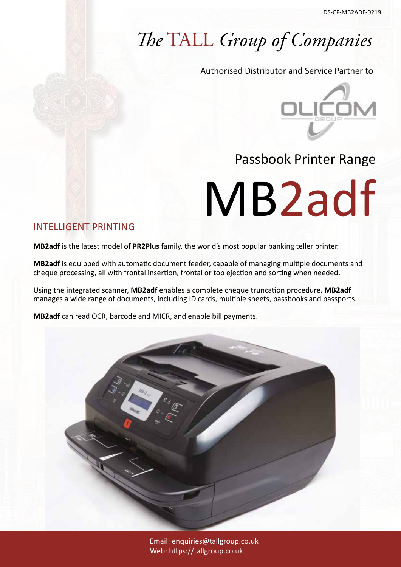## *The* TALL *Group of Companies*

Authorised Distributor and Service Partner to



### Passbook Printer Range

MB2adf

#### INTELLIGENT PRINTING

**MB2adf** is the latest model of **PR2Plus** family, the world's most popular banking teller printer.

**MB2adf** is equipped with automatic document feeder, capable of managing multiple documents and cheque processing, all with frontal insertion, frontal or top ejection and sorting when needed.

Using the integrated scanner, **MB2adf** enables a complete cheque truncation procedure. **MB2adf** manages a wide range of documents, including ID cards, multiple sheets, passbooks and passports.

**MB2adf** can read OCR, barcode and MICR, and enable bill payments.



Email: enquiries@tallgroup.co.uk Web: https://tallgroup.co.uk